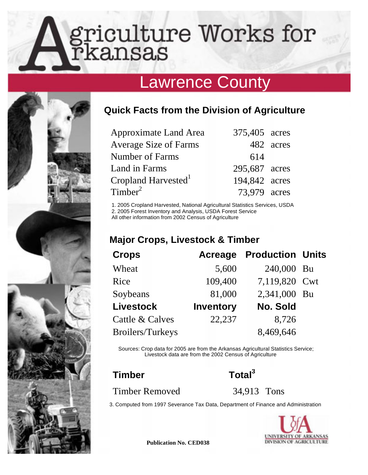# griculture Works for<br>rkansas

# Lawrence County



# **Quick Facts from the Division of Agriculture**

| Approximate Land Area           | 375,405 acres |           |
|---------------------------------|---------------|-----------|
| <b>Average Size of Farms</b>    |               | 482 acres |
| Number of Farms                 | 614           |           |
| Land in Farms                   | 295,687 acres |           |
| Cropland Harvested <sup>1</sup> | 194,842 acres |           |
| Timber <sup>2</sup>             | 73.979 acres  |           |

1. 2005 Cropland Harvested, National Agricultural Statistics Services, USDA<br>
2. 2005 Forest Inventory and Analysis, USDA Forest Service<br> **All other information from 2002 Census of Agriculture**<br> **Major Crops, Livestock & Ti** 2. 2005 Forest Inventory and Analysis, USDA Forest Service

All other information from 2002 Census of Agriculture

| <b>Crops</b>     | Acreage          | <b>Production Units</b> |  |
|------------------|------------------|-------------------------|--|
| Wheat            | 5,600            | 240,000 Bu              |  |
| Rice             | 109,400          | 7,119,820 Cwt           |  |
| Soybeans         | 81,000           | 2,341,000 Bu            |  |
| <b>Livestock</b> | <b>Inventory</b> | No. Sold                |  |
| Cattle & Calves  | 22,237           | 8,726                   |  |
| Broilers/Turkeys |                  | 8,469,646               |  |

Sources: Crop data for 2005 are from the Arkansas Agricultural Statistics Service; Livestock data are from the 2002 Census of Agriculture

# Timber Total<sup>3</sup>

Timber Removed 34,913 Tons

3. Computed from 1997 Severance Tax Data, Department of Finance and Administration



**Publication No. CED038**